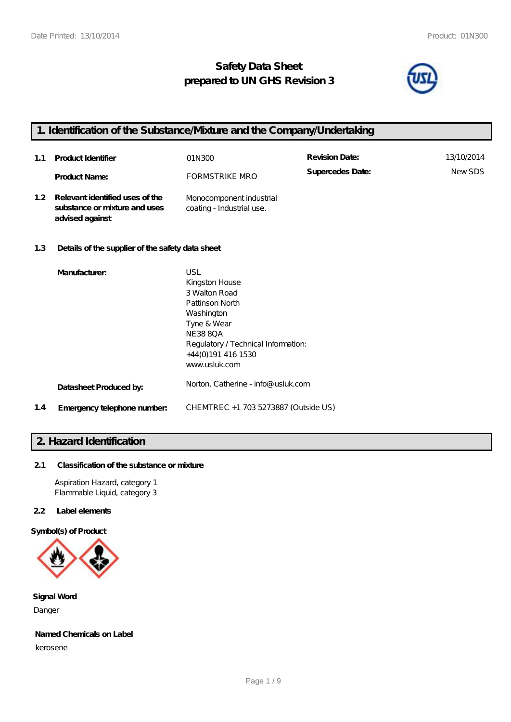# **Safety Data Sheet prepared to UN GHS Revision 3**



# **1. Identification of the Substance/Mixture and the Company/Undertaking**

| 1.1              | <b>Product Identifier</b>                                                           | 01N300                                                                                                                                          | <b>Revision Date:</b> | 13/10/2014 |
|------------------|-------------------------------------------------------------------------------------|-------------------------------------------------------------------------------------------------------------------------------------------------|-----------------------|------------|
|                  | <b>Product Name:</b>                                                                | FORMSTRIKE MRO                                                                                                                                  | Supercedes Date:      | NewSDS     |
| 1.2 <sub>1</sub> | Relevant identified uses of the<br>substance or mixture and uses<br>advised against | Monocomponent industrial<br>coating - Industrial use.                                                                                           |                       |            |
| 1.3              | Details of the supplier of the safety data sheet                                    |                                                                                                                                                 |                       |            |
|                  | Manufacturer:                                                                       | USL<br>Kingston House<br>3 Walton Road<br>Pattinson North<br>Washington<br>Tyne & Wear<br><b>NE388QA</b><br>Regulatory / Technical Information: |                       |            |

|     |                             | www.usluk.com                        |
|-----|-----------------------------|--------------------------------------|
|     | Datasheet Produced by:      | Norton, Catherine - info@ usluk.com  |
| 1.4 | Emergency telephone number. | CHEMTREC +1 703 5273887 (Outside US) |

+44(0)191 416 1530

# **2. Hazard Identification**

# **2.1 Classification of the substance or mixture**

Aspiration Hazard, category 1 Flammable Liquid, category 3

# **2.2 Label elements**

**Symbol(s) of Product**



**Signal Word** Danger

### **Named Chemicals on Label**

kerosene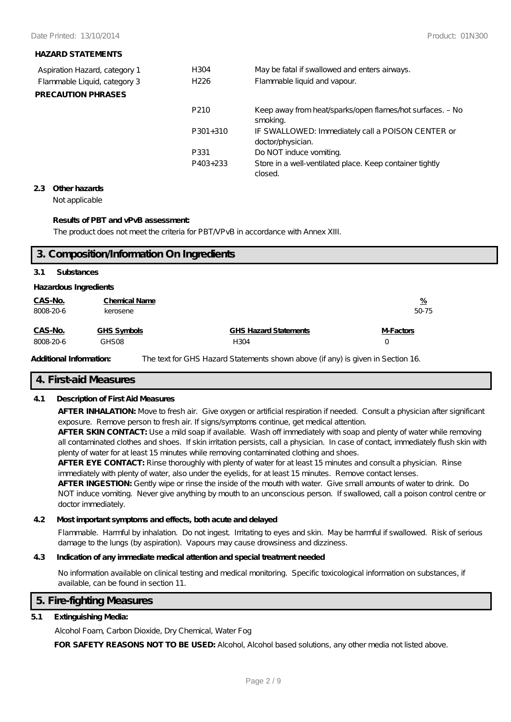## **HAZARD STATEMENTS**

| Aspiration Hazard, category 1 | H304             | May be fatal if swallowed and enters airways.                          |
|-------------------------------|------------------|------------------------------------------------------------------------|
| Flammable Liquid, category 3  | H <sub>226</sub> | Flammable liquid and vapour.                                           |
| <b>PRECAUTION PHRASES</b>     |                  |                                                                        |
|                               | P <sub>210</sub> | Keep away from heat/sparks/open flames/hot surfaces. - No<br>smoking.  |
|                               | $P301+310$       | IF SWALLOWED: Immediately call a POISON CENTER or<br>doctor/physician. |
|                               | P331             | Do NOT induce vomiting.                                                |
|                               | P403+233         | Store in a well-ventilated place. Keep container tightly<br>closed.    |

### **2.3 Other hazards**

Not applicable

## **Results of PBT and vPvB assessment:**

The product does not meet the criteria for PBT/VPvB in accordance with Annex XIII.

|                       |                      | 3. Composition/Information On Ingredients |               |  |  |
|-----------------------|----------------------|-------------------------------------------|---------------|--|--|
| 3.1                   | <b>Substances</b>    |                                           |               |  |  |
| Hazardous Ingredients |                      |                                           |               |  |  |
| CAS-No.               | <b>Chemical Name</b> |                                           | $\frac{9}{6}$ |  |  |
| 8008-20-6             | kerosene             |                                           | 50-75         |  |  |
| CAS-No.               | GHS Symbols          | <b>GHS Hazard Statements</b>              | M-Factors     |  |  |
| 8008-20-6             | GHS08                | H304                                      | 0             |  |  |

Additional Information: The text for GHS Hazard Statements shown above (if any) is given in Section 16.

# **4. First-aid Measures**

# **4.1 Description of First Aid Measures**

**AFTER INHALATION:** Move to fresh air. Give oxygen or artificial respiration if needed. Consult a physician after significant exposure. Remove person to fresh air. If signs/symptoms continue, get medical attention.

**AFTER SKIN CONTACT:** Use a mild soap if available. Wash off immediately with soap and plenty of water while removing all contaminated clothes and shoes. If skin irritation persists, call a physician. In case of contact, immediately flush skin with plenty of water for at least 15 minutes while removing contaminated clothing and shoes.

**AFTER EYE CONTACT:** Rinse thoroughly with plenty of water for at least 15 minutes and consult a physician. Rinse immediately with plenty of water, also under the eyelids, for at least 15 minutes. Remove contact lenses.

**AFTER INGESTION:** Gently wipe or rinse the inside of the mouth with water. Give small amounts of water to drink. Do NOT induce vomiting. Never give anything by mouth to an unconscious person. If swallowed, call a poison control centre or doctor immediately.

### **4.2 Most important symptoms and effects, both acute and delayed**

Flammable. Harmful by inhalation. Do not ingest. Irritating to eyes and skin. May be harmful if swallowed. Risk of serious damage to the lungs (by aspiration). Vapours may cause drowsiness and dizziness.

# **4.3 Indication of any immediate medical attention and special treatment needed**

No information available on clinical testing and medical monitoring. Specific toxicological information on substances, if available, can be found in section 11.

### **5. Fire-fighting Measures**

# **5.1 Extinguishing Media:**

Alcohol Foam, Carbon Dioxide, Dry Chemical, Water Fog

**FOR SAFETY REASONS NOT TO BE USED:** Alcohol, Alcohol based solutions, any other media not listed above.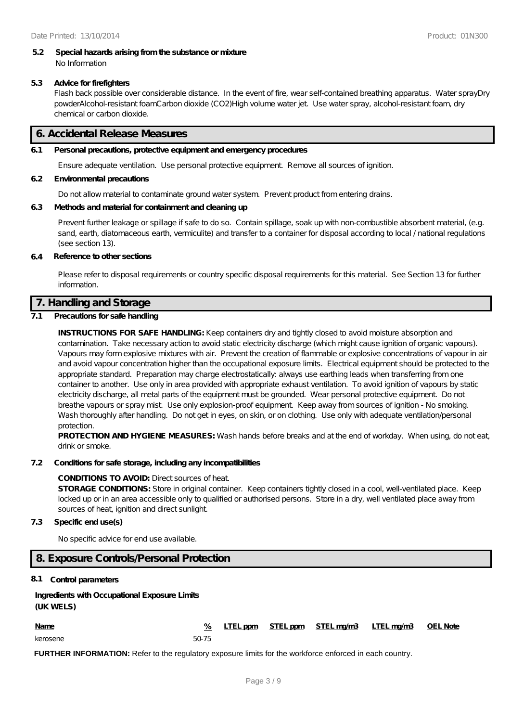#### **5.2 Special hazards arising from the substance or mixture** No Information

### **5.3 Advice for firefighters**

Flash back possible over considerable distance. In the event of fire, wear self-contained breathing apparatus. Water sprayDry powderAlcohol-resistant foamCarbon dioxide (CO2)High volume water jet. Use water spray, alcohol-resistant foam, dry chemical or carbon dioxide.

# **6. Accidental Release Measures**

### **6.1 Personal precautions, protective equipment and emergency procedures**

Ensure adequate ventilation. Use personal protective equipment. Remove all sources of ignition.

#### **6.2 Environmental precautions**

Do not allow material to contaminate ground water system. Prevent product from entering drains.

### **6.3 Methods and material for containment and cleaning up**

Prevent further leakage or spillage if safe to do so. Contain spillage, soak up with non-combustible absorbent material, (e.g. sand, earth, diatomaceous earth, vermiculite) and transfer to a container for disposal according to local / national regulations (see section 13).

#### **6.4 Reference to other sections**

Please refer to disposal requirements or country specific disposal requirements for this material. See Section 13 for further information.

# **7. Handling and Storage**

### **7.1 Precautions for safe handling**

**INSTRUCTIONS FOR SAFE HANDLING:** Keep containers dry and tightly closed to avoid moisture absorption and contamination. Take necessary action to avoid static electricity discharge (which might cause ignition of organic vapours). Vapours may form explosive mixtures with air. Prevent the creation of flammable or explosive concentrations of vapour in air and avoid vapour concentration higher than the occupational exposure limits. Electrical equipment should be protected to the appropriate standard. Preparation may charge electrostatically: always use earthing leads when transferring from one container to another. Use only in area provided with appropriate exhaust ventilation. To avoid ignition of vapours by static electricity discharge, all metal parts of the equipment must be grounded. Wear personal protective equipment. Do not breathe vapours or spray mist. Use only explosion-proof equipment. Keep away from sources of ignition - No smoking. Wash thoroughly after handling. Do not get in eyes, on skin, or on clothing. Use only with adequate ventilation/personal protection.

**PROTECTION AND HYGIENE MEASURES:** Wash hands before breaks and at the end of workday. When using, do not eat, drink or smoke.

#### **7.2 Conditions for safe storage, including any incompatibilities**

#### **CONDITIONS TO AVOID:** Direct sources of heat.

**STORAGE CONDITIONS:** Store in original container. Keep containers tightly closed in a cool, well-ventilated place. Keep locked up or in an area accessible only to qualified or authorised persons. Store in a dry, well ventilated place away from sources of heat, ignition and direct sunlight.

#### **7.3 Specific end use(s)**

No specific advice for end use available.

# **8. Exposure Controls/Personal Protection**

#### **8.1 Control parameters**

# **Ingredients with Occupational Exposure Limits (UK WELS)**

| <b>Name</b> |       |  | % LTEL ppm STEL ppm STEL mg/m3 LTEL mg/m3 OEL Note |  |
|-------------|-------|--|----------------------------------------------------|--|
| kerosene    | 50-75 |  |                                                    |  |

**FURTHER INFORMATION:** Refer to the regulatory exposure limits for the workforce enforced in each country.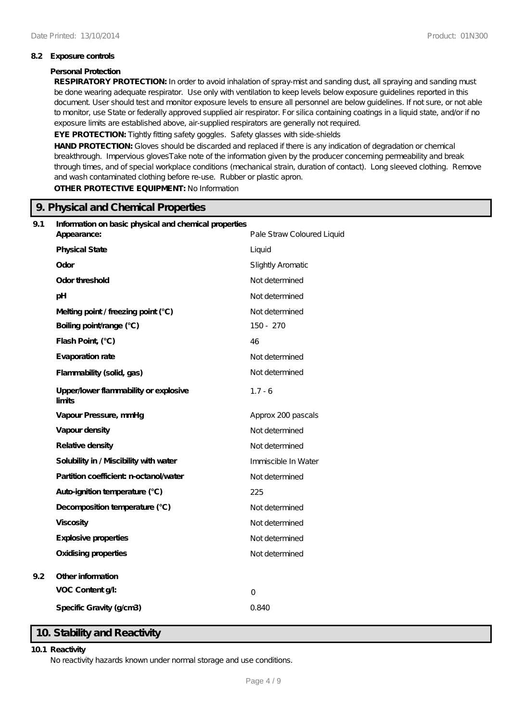### **8.2 Exposure controls**

### **Personal Protection**

**RESPIRATORY PROTECTION:** In order to avoid inhalation of spray-mist and sanding dust, all spraying and sanding must be done wearing adequate respirator. Use only with ventilation to keep levels below exposure guidelines reported in this document. User should test and monitor exposure levels to ensure all personnel are below guidelines. If not sure, or not able to monitor, use State or federally approved supplied air respirator. For silica containing coatings in a liquid state, and/or if no exposure limits are established above, air-supplied respirators are generally not required.

EYE PROTECTION: Tightly fitting safety goggles. Safety glasses with side-shields

**HAND PROTECTION:** Gloves should be discarded and replaced if there is any indication of degradation or chemical breakthrough. Impervious glovesTake note of the information given by the producer concerning permeability and break through times, and of special workplace conditions (mechanical strain, duration of contact). Long sleeved clothing. Remove and wash contaminated clothing before re-use. Rubber or plastic apron.

**OTHER PROTECTIVE EQUIPMENT:** No Information

|     | 9. Physical and Chemical Properties                                  |                            |  |
|-----|----------------------------------------------------------------------|----------------------------|--|
| 9.1 | Information on basic physical and chemical properties<br>Appearance: | Pale Straw Coloured Liquid |  |
|     | <b>Physical State</b>                                                | Liquid                     |  |
|     | Odor                                                                 | Slightly Aromatic          |  |
|     | Odor threshold                                                       | Not determined             |  |
|     | pH                                                                   | Not determined             |  |
|     | Melting point / freezing point (°C)                                  | Not determined             |  |
|     | Boiling point/range (°C)                                             | 150 - 270                  |  |
|     | Flash Point, (°C)                                                    | 46                         |  |
|     | Evaporation rate                                                     | Not determined             |  |
|     | Flammability (solid, gas)                                            | Not determined             |  |
|     | Upper/lower flammability or explosive<br>limits                      | $1.7 - 6$                  |  |
|     | Vapour Pressure, mmHg                                                | Approx 200 pascals         |  |
|     | Vapour density                                                       | Not determined             |  |
|     | Relative density                                                     | Not determined             |  |
|     | Solubility in / Miscibility with water                               | Immiscible In Water        |  |
|     | Partition coefficient n-octanol/water                                | Not determined             |  |
|     | Auto-ignition temperature (°C)                                       | 225                        |  |
|     | Decomposition temperature (°C)                                       | Not determined             |  |
|     | <b>Viscosity</b>                                                     | Not determined             |  |
|     | Explosive properties                                                 | Not determined             |  |
|     | <b>Oxidising properties</b>                                          | Not determined             |  |
| 9.2 | Other information                                                    |                            |  |
|     | VOC Content g/l:                                                     | $\overline{O}$             |  |
|     | Specific Gravity (g/cm3)                                             | 0.840                      |  |

# **10. Stability and Reactivity**

#### **10.1 Reactivity**

No reactivity hazards known under normal storage and use conditions.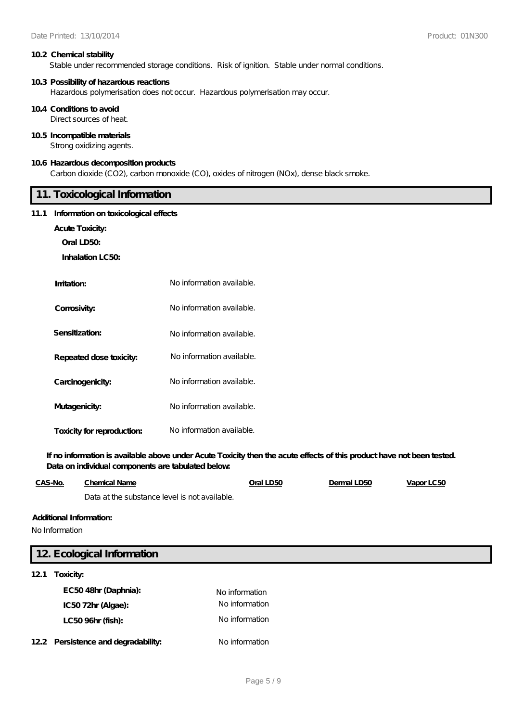#### **10.2 Chemical stability**

Stable under recommended storage conditions. Risk of ignition. Stable under normal conditions.

#### **10.3 Possibility of hazardous reactions**

Hazardous polymerisation does not occur. Hazardous polymerisation may occur.

#### **10.4 Conditions to avoid**

Direct sources of heat.

### **10.5 Incompatible materials**

Strong oxidizing agents.

### **10.6 Hazardous decomposition products**

Carbon dioxide (CO2), carbon monoxide (CO), oxides of nitrogen (NOx), dense black smoke.

# **11. Toxicological Information**

#### **11.1 Information on toxicological effects**

**Acute Toxicity:**

**Oral LD50:**

**Inhalation LC50:**

| Imitation:                 | No information available. |
|----------------------------|---------------------------|
| Corrosivity:               | No information available. |
| Sensitization:             | No information available. |
| Repeated dose toxicity:    | No information available. |
| Carcinogenicity:           | No information available. |
| Mutagenicity:              | No information available. |
| Toxicity for reproduction: | No information available. |

**If no information is available above under Acute Toxicity then the acute effects of this product have not been tested. Data on individual components are tabulated below:**

| CAS-No. | Chemical Name                                 | Oral LD50 | Dermal LD50 | Vapor LC50 |
|---------|-----------------------------------------------|-----------|-------------|------------|
|         | Data at the substance level is not available. |           |             |            |

### **Additional Information:**

No Information

| 12 Ecological Information           |                |  |  |  |
|-------------------------------------|----------------|--|--|--|
| 121<br>Toxicity:                    |                |  |  |  |
| EC5048hr (Daphnia):                 | No information |  |  |  |
| IC5072hr (Algae):                   | No information |  |  |  |
| LC50 96hr (fish):                   | No information |  |  |  |
| 12.2 Persistence and degradability: | No information |  |  |  |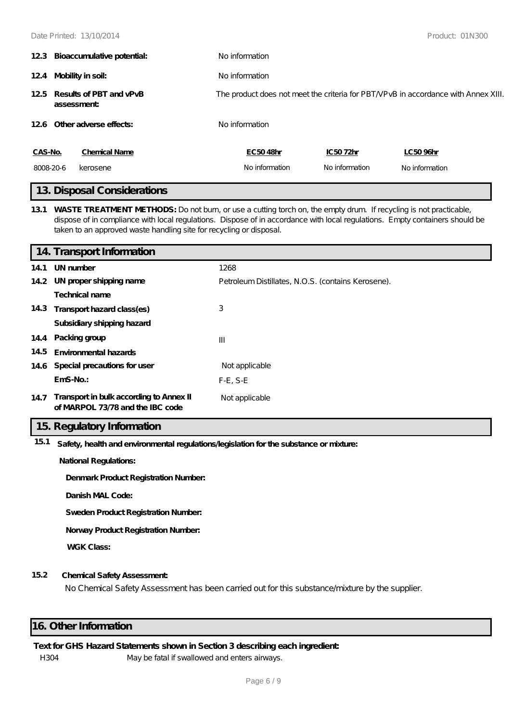|           | 12.3 Bioaccumulative potential:           | No information |                |                                                                                    |
|-----------|-------------------------------------------|----------------|----------------|------------------------------------------------------------------------------------|
|           | 124 Mobility in soil:                     | No information |                |                                                                                    |
|           | 125 Results of PBT and vPvB<br>assessment |                |                | The product does not meet the criteria for PBT/VPvB in accordance with Annex XIII. |
|           | 12.6 Other adverse effects:               | No information |                |                                                                                    |
| CAS-No.   | <b>Chemical Name</b>                      | EC5048hr       | IC5072hr       | LC50 96hr                                                                          |
| 8008-20-6 | kerosene                                  | No information | No information | No information                                                                     |
|           | 10 Diamond Compieters to no               |                |                |                                                                                    |

# **13. Disposal Considerations**

**13.1 WASTE TREATMENT METHODS:** Do not burn, or use a cutting torch on, the empty drum. If recycling is not practicable, dispose of in compliance with local regulations. Dispose of in accordance with local regulations. Empty containers should be taken to an approved waste handling site for recycling or disposal.

|      | 14. Transport Information                                                        |                                                    |
|------|----------------------------------------------------------------------------------|----------------------------------------------------|
| 14.1 | UN number                                                                        | 1268                                               |
|      | 14.2 UN proper shipping name                                                     | Petroleum Distillates, N.O.S. (contains Kerosene). |
|      | Technical name                                                                   |                                                    |
|      | 14.3 Transport hazard class(es)                                                  | 3                                                  |
|      | Subsidiary shipping hazard                                                       |                                                    |
|      | 14.4 Packing group                                                               | $\mathbf{III}$                                     |
| 14.5 | Environmental hazards                                                            |                                                    |
|      | 14.6 Special precautions for user                                                | Not applicable                                     |
|      | $EmS-No.$                                                                        | $F-E$ , S-E                                        |
|      | 14.7 Transport in bulk according to Annex II<br>of MARPOL 73/78 and the IBC code | Not applicable                                     |

# **15. Regulatory Information**

**15.1 Safety, health and environmental regulations/legislation for the substance or mixture:**

**National Regulations:**

**Denmark Product Registration Number:**

**Danish MAL Code:**

**Sweden Product Registration Number:**

**Norway Product Registration Number:**

**WGK Class:**

## **15.2 Chemical Safety Assessment:**

No Chemical Safety Assessment has been carried out for this substance/mixture by the supplier.

# **16. Other Information**

### **Text for GHS Hazard Statements shown in Section 3 describing each ingredient:**

H304 May be fatal if swallowed and enters airways.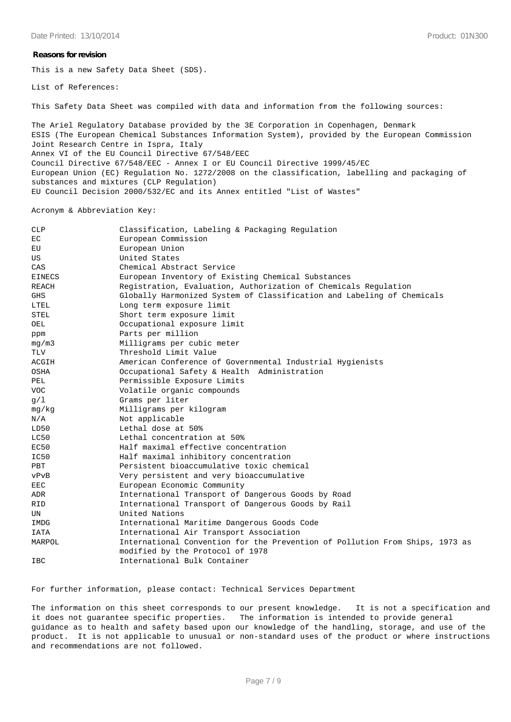#### **Reasons for revision**

This is a new Safety Data Sheet (SDS).

List of References:

This Safety Data Sheet was compiled with data and information from the following sources:

The Ariel Regulatory Database provided by the 3E Corporation in Copenhagen, Denmark ESIS (The European Chemical Substances Information System), provided by the European Commission Joint Research Centre in Ispra, Italy Annex VI of the EU Council Directive 67/548/EEC Council Directive 67/548/EEC - Annex I or EU Council Directive 1999/45/EC European Union (EC) Regulation No. 1272/2008 on the classification, labelling and packaging of substances and mixtures (CLP Regulation) EU Council Decision 2000/532/EC and its Annex entitled "List of Wastes"

Acronym & Abbreviation Key:

| <b>CLP</b>    | Classification, Labeling & Packaging Regulation                              |
|---------------|------------------------------------------------------------------------------|
| EC            | European Commission                                                          |
| EU            | European Union                                                               |
| US            | United States                                                                |
| CAS           | Chemical Abstract Service                                                    |
| <b>EINECS</b> | European Inventory of Existing Chemical Substances                           |
| <b>REACH</b>  | Registration, Evaluation, Authorization of Chemicals Regulation              |
| <b>GHS</b>    | Globally Harmonized System of Classification and Labeling of Chemicals       |
| LTEL          | Long term exposure limit                                                     |
| <b>STEL</b>   | Short term exposure limit                                                    |
| OEL           | Occupational exposure limit                                                  |
| ppm           | Parts per million                                                            |
| mg/m3         | Milligrams per cubic meter                                                   |
| <b>TLV</b>    | Threshold Limit Value                                                        |
| ACGIH         | American Conference of Governmental Industrial Hygienists                    |
| OSHA          | Occupational Safety & Health Administration                                  |
| PEL           | Permissible Exposure Limits                                                  |
| <b>VOC</b>    | Volatile organic compounds                                                   |
| q/1           | Grams per liter                                                              |
| mq/kg         | Milligrams per kilogram                                                      |
| N/A           | Not applicable                                                               |
| LD50          | Lethal dose at 50%                                                           |
| LC50          | Lethal concentration at 50%                                                  |
| EC50          | Half maximal effective concentration                                         |
| IC50          | Half maximal inhibitory concentration                                        |
| PBT           | Persistent bioaccumulative toxic chemical                                    |
| vPvB          | Very persistent and very bioaccumulative                                     |
| <b>EEC</b>    | European Economic Community                                                  |
| ADR           | International Transport of Dangerous Goods by Road                           |
| <b>RID</b>    | International Transport of Dangerous Goods by Rail                           |
| UN            | United Nations                                                               |
| IMDG          | International Maritime Dangerous Goods Code                                  |
| IATA          | International Air Transport Association                                      |
| MARPOL        | International Convention for the Prevention of Pollution From Ships, 1973 as |
|               | modified by the Protocol of 1978                                             |
| <b>IBC</b>    | International Bulk Container                                                 |

For further information, please contact: Technical Services Department

The information on this sheet corresponds to our present knowledge. It is not a specification and it does not guarantee specific properties. The information is intended to provide general guidance as to health and safety based upon our knowledge of the handling, storage, and use of the product. It is not applicable to unusual or non-standard uses of the product or where instructions and recommendations are not followed.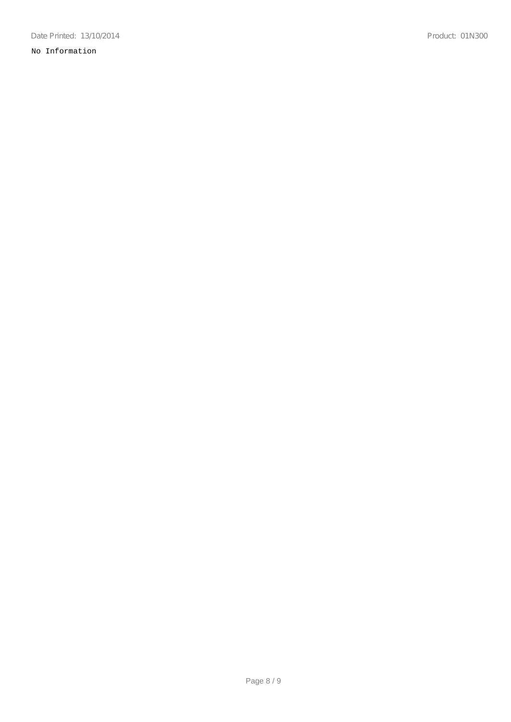# No Information